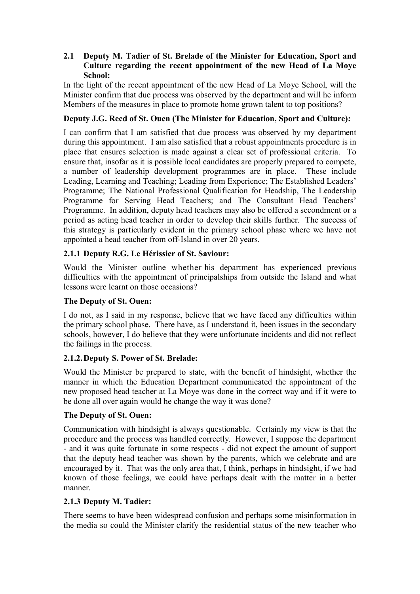## **2.1** � **Deputy M. Tadier of St. Brelade of the Minister for Education, Sport and Culture regarding the recent appointment of the new Head of La Moye School:**

In the light of the recent appointment of the new Head of La Moye School, will the Minister confirm that due process was observed by the department and will he inform Members of the measures in place to promote home grown talent to top positions?

# **Deputy J.G. Reed of St. Ouen (The Minister for Education, Sport and Culture):**

I can confirm that I am satisfied that due process was observed by my department during this appointment. I am also satisfied that a robust appointments procedure is in place that ensures selection is made against a clear set of professional criteria. To ensure that, insofar as it is possible local candidates are properly prepared to compete, a number of leadership development programmes are in place. These include Leading, Learning and Teaching; Leading from Experience; The Established Leaders' Programme; The National Professional Qualification for Headship, The Leadership Programme for Serving Head Teachers; and The Consultant Head Teachers' Programme. In addition, deputy head teachers may also be offered a secondment or a period as acting head teacher in order to develop their skills further. The success of this strategy is particularly evident in the primary school phase where we have not appointed a head teacher from off-Island in over 20 years.

# **2.1.1 Deputy R.G. Le Hérissier of St. Saviour:**

Would the Minister outline whether his department has experienced previous difficulties with the appointment of principalships from outside the Island and what lessons were learnt on those occasions?

## **The Deputy of St. Ouen:**

I do not, as I said in my response, believe that we have faced any difficulties within the primary school phase. There have, as I understand it, been issues in the secondary schools, however, I do believe that they were unfortunate incidents and did not reflect the failings in the process.

## **2.1.2.Deputy S. Power of St. Brelade:**

Would the Minister be prepared to state, with the benefit of hindsight, whether the manner in which the Education Department communicated the appointment of the new proposed head teacher at La Moye was done in the correct way and if it were to be done all over again would he change the way it was done?

## **The Deputy of St. Ouen:**

Communication with hindsight is always questionable. Certainly my view is that the procedure and the process was handled correctly. However, I suppose the department - and it was quite fortunate in some respects - did not expect the amount of support that the deputy head teacher was shown by the parents, which we celebrate and are encouraged by it. That was the only area that, I think, perhaps in hindsight, if we had known of those feelings, we could have perhaps dealt with the matter in a better manner.

## **2.1.3 Deputy M. Tadier:**

There seems to have been widespread confusion and perhaps some misinformation in the media so could the Minister clarify the residential status of the new teacher who